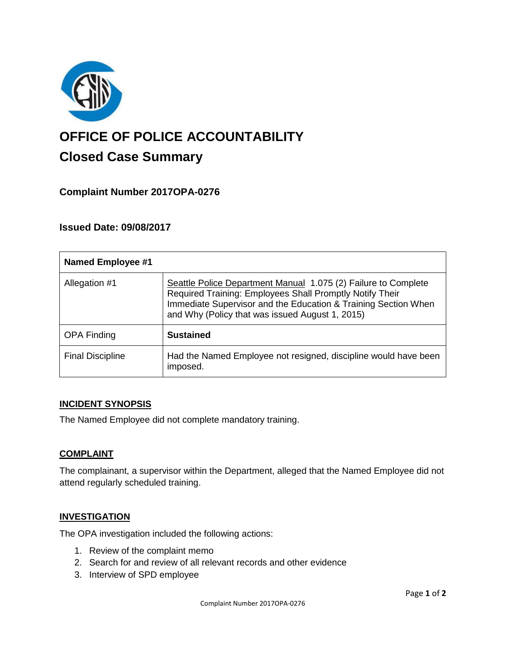

# **OFFICE OF POLICE ACCOUNTABILITY**

# **Closed Case Summary**

# **Complaint Number 2017OPA-0276**

# **Issued Date: 09/08/2017**

| <b>Named Employee #1</b> |                                                                                                                                                                                                                                                 |
|--------------------------|-------------------------------------------------------------------------------------------------------------------------------------------------------------------------------------------------------------------------------------------------|
| Allegation #1            | Seattle Police Department Manual 1.075 (2) Failure to Complete<br>Required Training: Employees Shall Promptly Notify Their<br>Immediate Supervisor and the Education & Training Section When<br>and Why (Policy that was issued August 1, 2015) |
| <b>OPA Finding</b>       | <b>Sustained</b>                                                                                                                                                                                                                                |
| <b>Final Discipline</b>  | Had the Named Employee not resigned, discipline would have been<br>imposed.                                                                                                                                                                     |

# **INCIDENT SYNOPSIS**

The Named Employee did not complete mandatory training.

# **COMPLAINT**

The complainant, a supervisor within the Department, alleged that the Named Employee did not attend regularly scheduled training.

#### **INVESTIGATION**

The OPA investigation included the following actions:

- 1. Review of the complaint memo
- 2. Search for and review of all relevant records and other evidence
- 3. Interview of SPD employee